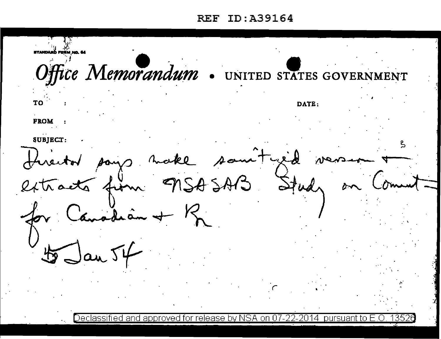## ID:A39164 **REF**

STANDARĎ FORM NO. 64 Office Memorandum . UNITED STATES GOVERNMENT TO DATE: **FROM** SUBJECT: make som Tyed Study MSA SAB acts from adian +  $R$  $Jan54$ 与

Declassified and approved for release by NSA 14 nursua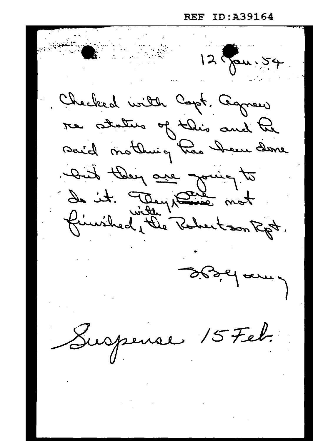ID: A39164 REF

12 Jan. 54 Checked with Capt, Caprew re status of this and he Dund they are going to de it. They paint not finished, the Robertson Rpt. designance Suspense 15 Feb.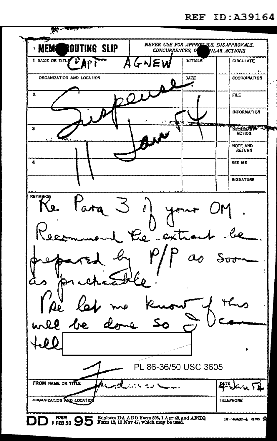| $200 - 4000$                                                                                                    |                                                           |
|-----------------------------------------------------------------------------------------------------------------|-----------------------------------------------------------|
| ROUTING SLIP<br>MEM<br>٧<br>CONCURRENCES, O                                                                     | NEVER USE FOR APPROVALS, DISAPPROVALS,<br>IILAR ACTIONS   |
| 1 NAME OR TITLE<br>AGNEW                                                                                        | INITIALS<br><b>CIRCULATE</b>                              |
| ORGANIZATION AND LOCATION                                                                                       | $\ddot{\phantom{a}}$<br>DATE<br><b>COORDINATION</b>       |
| $\mathbf{z}$                                                                                                    | <b>FILE</b>                                               |
|                                                                                                                 | INFORMATION                                               |
| э                                                                                                               | がたい<br><b>Colors</b><br>NECESSARY - TIME<br><b>ACTION</b> |
|                                                                                                                 | NOTE AND<br><b>RETURN</b>                                 |
| 4                                                                                                               | SEE ME                                                    |
|                                                                                                                 | <b>SIGNATURE</b>                                          |
| REMARKS<br>ـعِکا                                                                                                |                                                           |
| $\mathbf{r}$                                                                                                    |                                                           |
| $Re^U$ and                                                                                                      |                                                           |
|                                                                                                                 |                                                           |
|                                                                                                                 |                                                           |
|                                                                                                                 |                                                           |
|                                                                                                                 |                                                           |
| $\Lambda$ re<br>Ø.                                                                                              |                                                           |
| D                                                                                                               |                                                           |
|                                                                                                                 | ۰                                                         |
| PL 86-36/50 USC 3605                                                                                            |                                                           |
| FROM NAME OR TITLE<br>٠.<br>الموارد المحمد                                                                      | <b>ATE</b><br>an M                                        |
| ORGANIZATION AND LOCATION                                                                                       | <b>TELEPHONE</b>                                          |
| FORM<br>Replaces DA AGO Form 895, 1 Apr 48, and AFHQ<br>Form 12, 10 Nov 47, which may be used.<br><b>FEB 50</b> | 16-48487-4 GPO 34                                         |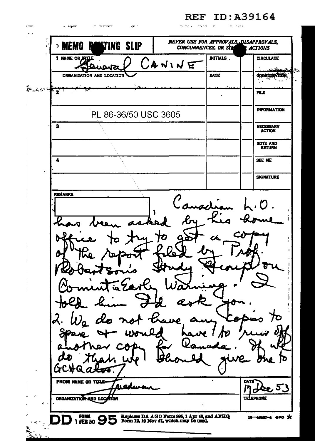$\mathbf{r}$  $\mathbf{r}$ l., NEVER USE FOR APPROVALS, DISAPPROVALS, **TING SLIP** ∍ MEMO **CONCURRENCES, OR STA ACTIONS** INITIALS. **CIRCULATE** I NAME OR つけいいに **DATE COORDINATION ORGANIZATION AND LOCATION** ٠.  $\label{eq:R1} \hat{R}^{\alpha} = \hat{C}^{\alpha} \hat{C}^{\beta} + \sum_{i=1}^n \sum_{i=1}^n \hat{C}^{\alpha}_{i} \hat{C}^{\beta}_{i}$ **FILE** l. **INFORMATION PL 86-36/50 USC 3605**  $\overline{\mathbf{s}}$ NECESSARY<br>ACTION NOTE AND 4 **SEE ME SIGNATURE REMARKS**  $\mathbf{A}$ 70 ID. FROM NAME OR TITLE DATE ساعه <u>اس 5ع</u> ORGANIZATION AND LOCATION **TELEPHONE FORM**<br>1 FEB 50 95 Replaces DA AGO Form 895, 1 Apr 48, and AFHQ Form 12, 10 Nov 47, which may be used. 16-48487-4 его \*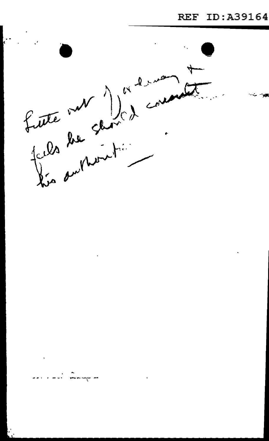

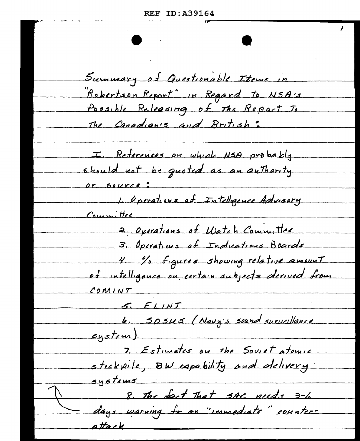Summary of Questionable Items in Robertson Report" in Regard to NSA's Possible Releasing of the Report To The Canadian's and British: I. References on which NSA probably should not be quoted as an authority or source: 1. Operations of Intelligence Advisory Committee 2. Operations of Watch Committee 3. Operations of Indications Boards 4. La figures showing relative amount et intelligence on certain subjects derived from  $COMINT$  $5. FLMT$ 6. SOSUS (Navy's sound surveillance  $s$ ustem) 7. Estimates on the Soviet atomic stickpile, BW capability and delivery systems 8. The fact That SAC needs 3-6 days warning for an "immediate" counterattack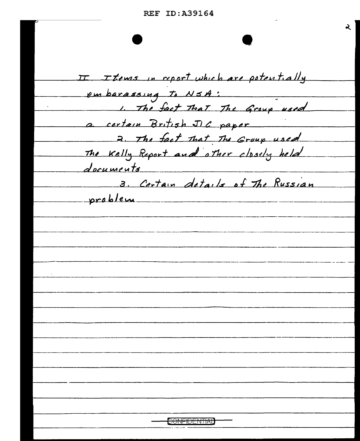Ž.

II I tems in report which are potentially embarassing to NSA: 1. The fact That The Group used a certain British JIC paper 2. The fact that The Group used The Kelly Report and other closely held documents 3. Certain details of The Russian problem <del>ONFIDENTIAU</del>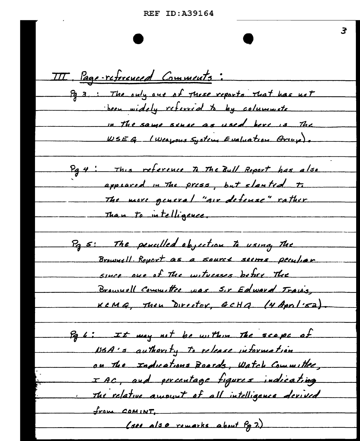3 III. Page-referenced Comments: Pg 3. The only one of these reports that has not been widely referred to by columniste in the same since as used here is The WSEG (Weapous System Evaluation Griep). Pg 4: This reference to The Bull Report has also appeared in The press, but slanted to The more general "air defense" rather Than to intelligence. Pas: The penculled objection to using the Brownell Report as a source seems peculiar since one of The witnesses before The Brownell Committee was Sir Edward Travis, KeMG, Then Director, GCHQ. (4 April 52) Pq 6: It may not be within the scope of NSA's authority to release information on the Inducations Boards, Watch Committee, IAC, and percentage figures indicating The relative amount of all intelligence devived <u>from COMINT</u> (see also remarks about Pg 7.)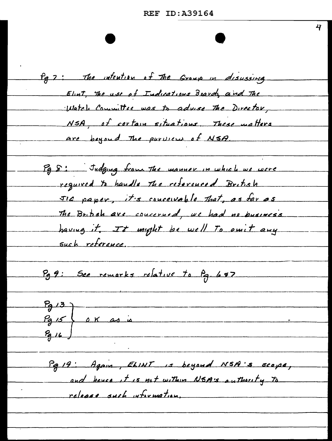Pg 7: The intention of The Group in disussing Elint, The use of Indications Boards and The Watch Committee was to advise the Director, NSA, of cortain situations. These motters are bayoud The purvious of NSA. Pg 8: Judging from the manner in which we were required to handle the referenced British JIC paper, it's conceivable that, as far as The British are concerned, we had no business having it. It imight be well To omit any such reference. Pg 9: See remarks relative to Pg. 697  $79/3$  $P<sub>9</sub>$  is  $66$  as Pa 19: Again, ELINT is beyond NSA's scope, and hence it is not within NSA:s authority to release such wforwation,

47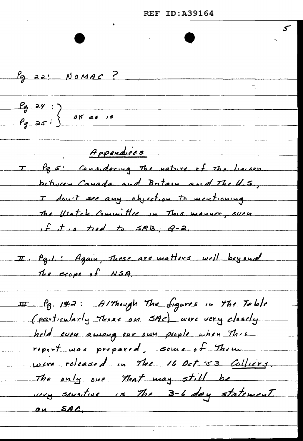**REF ID: A39164** Pg 22' NOMAC ?  $P_9$  24 :<br> $P_9$  25 :  $\bigg\{\n \begin{array}{c}\n 0 \text{ K} \text{ as } \text{ is } \\
0 \text{ K} \text{ as } \text{ is } \\
0 \text{ K} \text{ as } \text{ is } \\
0 \text{ K} \text{ as } \text{ is } \\
0 \text{ K} \text{ as } \text{ is } \\
0 \text{ K} \text{ as } \text{ is } \\
0 \text{ K} \text{ as } \text{ is } \\
0 \text{ K} \text{ as } \text{ is } \\
0 \text{ K} \text{ as } \text{ is } \\
0 \text{ K} \text{ as } \text{ is } \\
0 \text$ Appendices I Pa.s: Considering The nature of The liaison between Canada and Britain and The U.S., I don't see any objection to mentioning The Watch Committee in This manner, even If it is tied to SRB, G-2. I Pg.1.: Again, These are matters well beyond The scope of NSA. II Pg. 142: Although The figures in the Toble (particularly Those on SAC) were very closely held even among our own people when This report was prepared, some of Them were released in The 16 Oct. 53 Colliers. The only one that may still be very sensitive is The 3-6 day statement on SAC,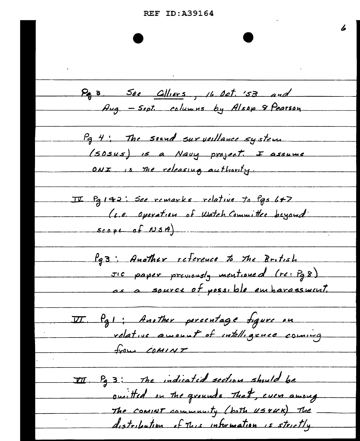6 Pa 3 See Gilliers, 16 Det. '53 and Aug. - Sept. columns by Alsop & Pearson Pg 4: The sound surveillance system (SDSus) is a Navy project. I assume ONI is the releasing authority. II Palta: See remarks relative to Pas L+7 (L.e. Operation of Watch Committee beyond  $scope$  of  $wsn)$ . Pg3: Another reference to the British JIC paper previously mentioned (re: Pg 8) as a source of possible embarassment. VI. Pal; Another percentage figure on relative amount of intelligence coming  $f_{\text{Y}0\mu}$  COMINT III Pg 3: The indicated section should be omitted on the grounds that, even among The community (both usrux) The distribution of this information is strictly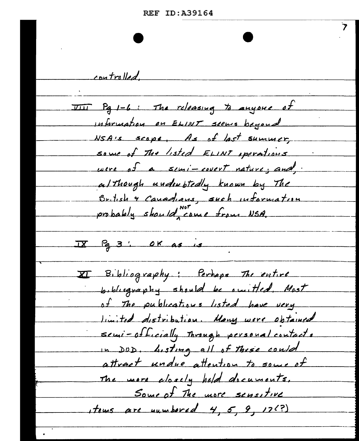| <b>REF ID:A39164</b> |  |  |  |  |  |  |  |
|----------------------|--|--|--|--|--|--|--|
|----------------------|--|--|--|--|--|--|--|

controlled. TIII Pa 1-6: The releasing to anyone of Information on ELINT seems beyond NSA's scope, As of last summer, some of The listed ELINT sperations were of a semi-covert nature; and although understedly known by The British & Canadians, such information probably should come from NSA.  $IX$   $P<sub>g</sub>$  3' OK as is **I Bibliography:** Perhaps The entire bibliography should be omitted. Most of The publications listed have very limited distribution. Many were obtained semi-officially Through personal contacts in DOD. Listing all of these could attract undue attention to some of The more alosely held documents. Some of The more sensitive stems are numbered 4, 5, 9, 17(?)